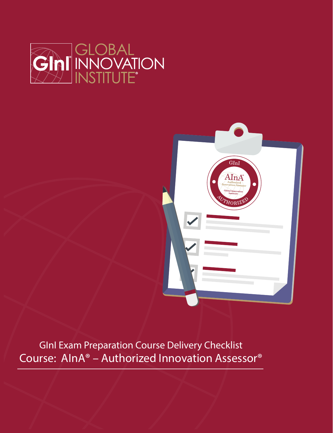



GInI Exam Preparation Course Delivery Checklist Course: AInA® – Authorized Innovation Assessor®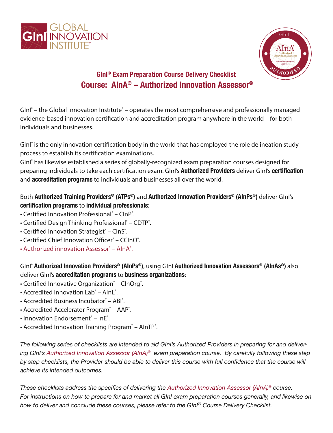



# **GInI® Exam Preparation Course Delivery Checklist Course: AInA® – Authorized Innovation Assessor®**

GInI<sup>®</sup> – the Global Innovation Institute<sup>®</sup> – operates the most comprehensive and professionally managed evidence-based innovation certification and accreditation program anywhere in the world – for both individuals and businesses.

GInI<sup>®</sup> is the only innovation certification body in the world that has employed the role delineation study process to establish its certification examinations.

GInI® has likewise established a series of globally-recognized exam preparation courses designed for preparing individuals to take each certication exam. GInI's **Authorized Providers** deliver GInI's **certification** and **accreditation programs** to individuals and businesses all over the world.

## Both **Authorized Training Providers® (ATPs®)** and **Authorized Innovation Providers® (AInPs®)** deliver GInI's **certification programs** to **individual professionals**:

- Certified Innovation Professional<sup>®</sup> ClnP<sup>®</sup>.
- Certified Design Thinking Professional<sup>®</sup> CDTP<sup>®</sup>.
- Certified Innovation Strategist® ClnS®.
- Certified Chief Innovation Officer<sup>®</sup> CCInO<sup>®</sup>.
- Authorized innovation Assessor® AlnA®.

GInI® **Authorized Innovation Providers® (AInPs®)**, using GInI **Authorized Innovation Assessors® (AInAs®)** also deliver GInI's **accreditation programs** to **business organizations**:

- Certified Innovative Organization® CInOrg®.
- Accredited Innovation Lab® AInL®.
- Accredited Business Incubator<sup>®</sup> ABI<sup>®</sup>.
- Accredited Accelerator Program<sup>®</sup> AAP<sup>®</sup>.
- Innovation Endorsement<sup>®</sup> InE<sup>®</sup>.
- Accredited Innovation Training Program<sup>®</sup> AInTP<sup>®</sup>.

*The following series of checklists are intended to aid GInI's Authorized Providers in preparing for and delivering GInI's Authorized Innovation Assessor (AInA)® exam preparation course. By carefully following these step*  by step checklists, the Provider should be able to deliver this course with full confidence that the course will *achieve its intended outcomes.*

*These checklists address the specifics of delivering the Authorized Innovation Assessor (AInA)® course. For instructions on how to prepare for and market all GInI exam preparation courses generally, and likewise on how to deliver and conclude these courses, please refer to the GInI® Course Delivery Checklist.*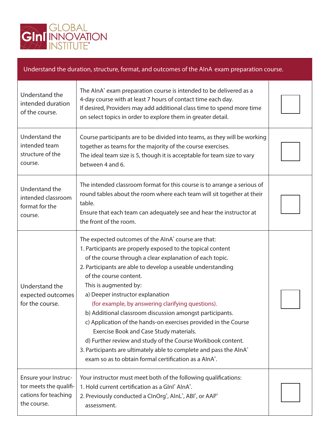

of the course.

### Understand the duration, structure, format, and outcomes of the AInA exam preparation course. Understand the intended duration The AInA<sup>®</sup> exam preparation course is intended to be delivered as a 4-day course with at least 7 hours of contact time each day. If desired, Providers may add additional class time to spend more time

|                                                                                       | on select topics in order to explore them in greater detail.                                                                                                                                                                                                                                                                                                                                                                                                                                                                                                                                                                                                                                                                                                                   |  |
|---------------------------------------------------------------------------------------|--------------------------------------------------------------------------------------------------------------------------------------------------------------------------------------------------------------------------------------------------------------------------------------------------------------------------------------------------------------------------------------------------------------------------------------------------------------------------------------------------------------------------------------------------------------------------------------------------------------------------------------------------------------------------------------------------------------------------------------------------------------------------------|--|
| Understand the<br>intended team<br>structure of the<br>course.                        | Course participants are to be divided into teams, as they will be working<br>together as teams for the majority of the course exercises.<br>The ideal team size is 5, though it is acceptable for team size to vary<br>between 4 and 6.                                                                                                                                                                                                                                                                                                                                                                                                                                                                                                                                        |  |
| Understand the<br>intended classroom<br>format for the<br>course.                     | The intended classroom format for this course is to arrange a serious of<br>round tables about the room where each team will sit together at their<br>table.<br>Ensure that each team can adequately see and hear the instructor at<br>the front of the room.                                                                                                                                                                                                                                                                                                                                                                                                                                                                                                                  |  |
| Understand the<br>expected outcomes<br>for the course.                                | The expected outcomes of the AInA° course are that:<br>1. Participants are properly exposed to the topical content<br>of the course through a clear explanation of each topic.<br>2. Participants are able to develop a useable understanding<br>of the course content.<br>This is augmented by:<br>a) Deeper instructor explanation<br>(for example, by answering clarifying questions).<br>b) Additional classroom discussion amongst participants.<br>c) Application of the hands-on exercises provided in the Course<br>Exercise Book and Case Study materials.<br>d) Further review and study of the Course Workbook content.<br>3. Participants are ultimately able to complete and pass the AlnA®<br>exam so as to obtain formal certification as a AlnA <sup>®</sup> . |  |
| Ensure your Instruc-<br>tor meets the qualifi-<br>cations for teaching<br>the course. | Your instructor must meet both of the following qualifications:<br>1. Hold current certification as a Glnl <sup>®</sup> AlnA <sup>®</sup> .<br>2. Previously conducted a ClnOrg <sup>®</sup> , AlnL <sup>®</sup> , ABI <sup>®</sup> , or AAP <sup>®</sup><br>assessment.                                                                                                                                                                                                                                                                                                                                                                                                                                                                                                       |  |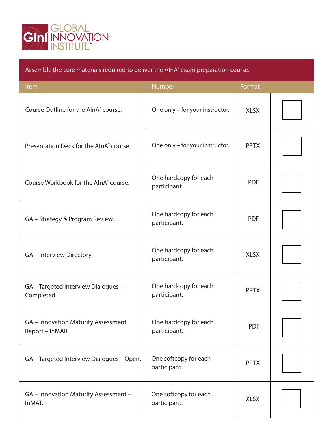

| Assemble the core materials required to deliver the AInA <sup>®</sup> exam preparation course. |                                       |             |  |
|------------------------------------------------------------------------------------------------|---------------------------------------|-------------|--|
| Item                                                                                           | <b>Number</b>                         | Format      |  |
| Course Outline for the AlnA <sup>®</sup> course.                                               | One only - for your instructor.       | <b>XLSX</b> |  |
| Presentation Deck for the AlnA <sup>®</sup> course.                                            | One only - for your instructor.       | <b>PPTX</b> |  |
| Course Workbook for the AlnA <sup>®</sup> course.                                              | One hardcopy for each<br>participant. | <b>PDF</b>  |  |
| GA – Strategy & Program Review.                                                                | One hardcopy for each<br>participant. | <b>PDF</b>  |  |
| GA - Interview Directory.                                                                      | One hardcopy for each<br>participant. | <b>XLSX</b> |  |
| GA - Targeted Interview Dialogues -<br>Completed.                                              | One hardcopy for each<br>participant. | <b>PPTX</b> |  |
| <b>GA</b> – Innovation Maturity Assessment<br>Report - InMAR.                                  | One hardcopy for each<br>participant. | <b>PDF</b>  |  |
| GA - Targeted Interview Dialogues - Open.                                                      | One softcopy for each<br>participant. | <b>PPTX</b> |  |
| GA - Innovation Maturity Assessment -<br>InMAT.                                                | One softcopy for each<br>participant. | <b>XLSX</b> |  |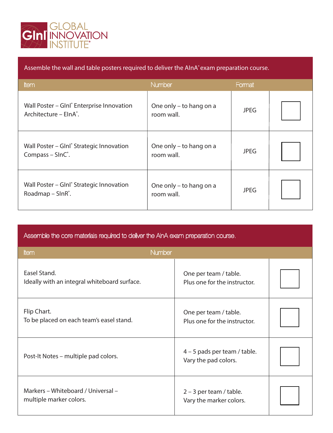

|  | Assemble the wall and table posters required to deliver the AInA <sup>®</sup> exam preparation course. |
|--|--------------------------------------------------------------------------------------------------------|
|  |                                                                                                        |

| Item                                                                                 | <b>Number</b>                         | Format      |  |
|--------------------------------------------------------------------------------------|---------------------------------------|-------------|--|
| Wall Poster - Glnl® Enterprise Innovation<br>Architecture - ElnA°.                   | One only – to hang on a<br>room wall. | <b>JPEG</b> |  |
| Wall Poster – Glnl <sup>®</sup> Strategic Innovation<br>Compass $-$ SlnC $\degree$ . | One only – to hang on a<br>room wall. | <b>JPEG</b> |  |
| Wall Poster – Glnl <sup>®</sup> Strategic Innovation<br>Roadmap – $SINR^*$ .         | One only - to hang on a<br>room wall. | <b>JPEG</b> |  |

|             | Assemble the core materials required to deliver the AInA exam preparation course. |  |  |  |
|-------------|-----------------------------------------------------------------------------------|--|--|--|
| <b>Item</b> | <b>Number</b>                                                                     |  |  |  |
|             |                                                                                   |  |  |  |

| Easel Stand.<br>Ideally with an integral whiteboard surface.  | One per team / table.<br>Plus one for the instructor.  |  |
|---------------------------------------------------------------|--------------------------------------------------------|--|
| Flip Chart.<br>To be placed on each team's easel stand.       | One per team / table.<br>Plus one for the instructor.  |  |
| Post-It Notes - multiple pad colors.                          | $4 - 5$ pads per team / table.<br>Vary the pad colors. |  |
| Markers - Whiteboard / Universal -<br>multiple marker colors. | $2 - 3$ per team / table.<br>Vary the marker colors.   |  |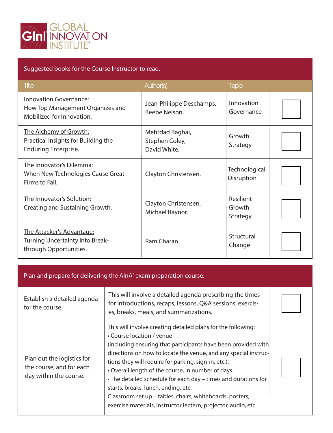

## Suggested books for the Course Instructor to read.

| <b>Title</b>                                                                                   | Author(s)                                         | <b>Topic</b>                    |  |
|------------------------------------------------------------------------------------------------|---------------------------------------------------|---------------------------------|--|
| <b>Innovation Governance:</b><br>How Top Management Organizes and<br>Mobilized for Innovation. | Jean-Philippe Deschamps,<br>Beebe Nelson.         | Innovation<br>Governance        |  |
| The Alchemy of Growth:<br>Practical Insights for Building the<br><b>Enduring Enterprise.</b>   | Mehrdad Baghai,<br>Stephen Coley,<br>David White. | Growth<br>Strategy              |  |
| The Innovator's Dilemma:<br>When New Technologies Cause Great<br>Firms to Fail.                | Clayton Christensen.                              | Technological<br>Disruption     |  |
| The Innovator's Solution:<br>Creating and Sustaining Growth.                                   | Clayton Christensen,<br>Michael Raynor.           | Resilient<br>Growth<br>Strategy |  |
| The Attacker's Advantage:<br><b>Turning Uncertainty into Break-</b><br>through Opportunities.  | Ram Charan.                                       | Structural<br>Change            |  |

#### Plan and prepare for delivering the AlnA<sup>®</sup> exam preparation course.

| Establish a detailed agenda<br>for the course.                                   | This will involve a detailed agenda prescribing the times<br>for introductions, recaps, lessons, Q&A sessions, exercis-<br>es, breaks, meals, and summarizations.                                                                                                                                                                                                                                                                                                                                                                                                                  |  |
|----------------------------------------------------------------------------------|------------------------------------------------------------------------------------------------------------------------------------------------------------------------------------------------------------------------------------------------------------------------------------------------------------------------------------------------------------------------------------------------------------------------------------------------------------------------------------------------------------------------------------------------------------------------------------|--|
| Plan out the logistics for<br>the course, and for each<br>day within the course. | This will involve creating detailed plans for the following:<br>• Course location / venue<br>(including ensuring that participants have been provided with<br>directions on how to locate the venue, and any special instruc-<br>tions they will require for parking, sign-in, etc.).<br>• Overall length of the course, in number of days.<br>• The detailed schedule for each day - times and durations for<br>starts, breaks, lunch, ending, etc.<br>Classroom set up - tables, chairs, whiteboards, posters,<br>exercise materials, instructor lectern, projector, audio, etc. |  |